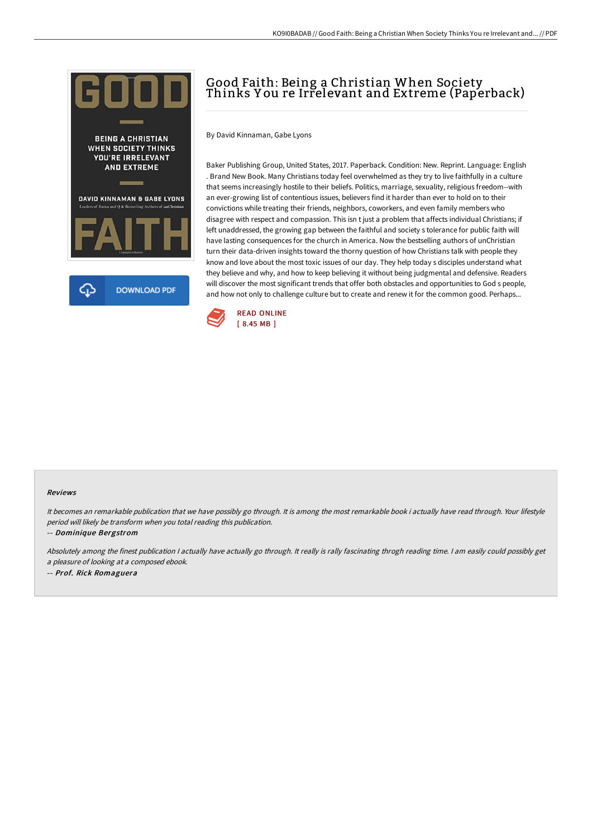

## Good Faith: Being a Christian When Society Thinks Y ou re Irrelevant and Extreme (Paperback)

By David Kinnaman, Gabe Lyons

Baker Publishing Group, United States, 2017. Paperback. Condition: New. Reprint. Language: English . Brand New Book. Many Christians today feel overwhelmed as they try to live faithfully in a culture that seems increasingly hostile to their beliefs. Politics, marriage, sexuality, religious freedom--with an ever-growing list of contentious issues, believers find it harder than ever to hold on to their convictions while treating their friends, neighbors, coworkers, and even family members who disagree with respect and compassion. This isn t just a problem that affects individual Christians; if left unaddressed, the growing gap between the faithful and society s tolerance for public faith will have lasting consequences for the church in America. Now the bestselling authors of unChristian turn their data-driven insights toward the thorny question of how Christians talk with people they know and love about the most toxic issues of our day. They help today s disciples understand what they believe and why, and how to keep believing it without being judgmental and defensive. Readers will discover the most significant trends that offer both obstacles and opportunities to God s people, and how not only to challenge culture but to create and renew it for the common good. Perhaps...



## Reviews

It becomes an remarkable publication that we have possibly go through. It is among the most remarkable book i actually have read through. Your lifestyle period will likely be transform when you total reading this publication.

-- Dominique Bergstrom

Absolutely among the finest publication <sup>I</sup> actually have actually go through. It really is rally fascinating throgh reading time. <sup>I</sup> am easily could possibly get <sup>a</sup> pleasure of looking at <sup>a</sup> composed ebook.

-- Prof. Rick Romaguera